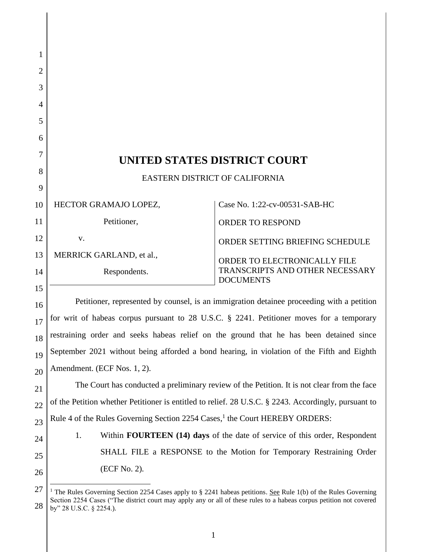| 1              |                                                                                             |                                                                                                                            |  |
|----------------|---------------------------------------------------------------------------------------------|----------------------------------------------------------------------------------------------------------------------------|--|
| $\overline{2}$ |                                                                                             |                                                                                                                            |  |
| 3              |                                                                                             |                                                                                                                            |  |
| $\overline{4}$ |                                                                                             |                                                                                                                            |  |
| 5              |                                                                                             |                                                                                                                            |  |
| 6              |                                                                                             |                                                                                                                            |  |
| 7              |                                                                                             |                                                                                                                            |  |
| 8              | UNITED STATES DISTRICT COURT<br>EASTERN DISTRICT OF CALIFORNIA                              |                                                                                                                            |  |
| 9              |                                                                                             |                                                                                                                            |  |
| 10             | HECTOR GRAMAJO LOPEZ,                                                                       | Case No. 1:22-cv-00531-SAB-HC                                                                                              |  |
| 11             | Petitioner,                                                                                 | <b>ORDER TO RESPOND</b>                                                                                                    |  |
| 12             | V.                                                                                          | ORDER SETTING BRIEFING SCHEDULE                                                                                            |  |
| 13             | MERRICK GARLAND, et al.,                                                                    | ORDER TO ELECTRONICALLY FILE                                                                                               |  |
| 14<br>15       | Respondents.                                                                                | TRANSCRIPTS AND OTHER NECESSARY<br><b>DOCUMENTS</b>                                                                        |  |
| 16             |                                                                                             | Petitioner, represented by counsel, is an immigration detainee proceeding with a petition                                  |  |
| 17             | for writ of habeas corpus pursuant to 28 U.S.C. § 2241. Petitioner moves for a temporary    |                                                                                                                            |  |
| 18             | restraining order and seeks habeas relief on the ground that he has been detained since     |                                                                                                                            |  |
| 19             | September 2021 without being afforded a bond hearing, in violation of the Fifth and Eighth  |                                                                                                                            |  |
| 20             | Amendment. (ECF Nos. 1, 2).                                                                 |                                                                                                                            |  |
| 21             | The Court has conducted a preliminary review of the Petition. It is not clear from the face |                                                                                                                            |  |
| 22             |                                                                                             | of the Petition whether Petitioner is entitled to relief. 28 U.S.C. § 2243. Accordingly, pursuant to                       |  |
| 23             | Rule 4 of the Rules Governing Section 2254 Cases, <sup>1</sup> the Court HEREBY ORDERS:     |                                                                                                                            |  |
| 24             | 1.                                                                                          | Within <b>FOURTEEN</b> (14) days of the date of service of this order, Respondent                                          |  |
| 25             |                                                                                             | SHALL FILE a RESPONSE to the Motion for Temporary Restraining Order                                                        |  |
| 26             | (ECF No. 2).                                                                                |                                                                                                                            |  |
| 27             |                                                                                             | <sup>1</sup> The Rules Governing Section 2254 Cases apply to § 2241 habeas petitions. See Rule 1(b) of the Rules Governing |  |
| 28             | by" 28 U.S.C. § 2254.).                                                                     | Section 2254 Cases ("The district court may apply any or all of these rules to a habeas corpus petition not covered        |  |

by" 28 U.S.C. § 2254.).

 $\mathsf{l}$ 

<sup>1</sup>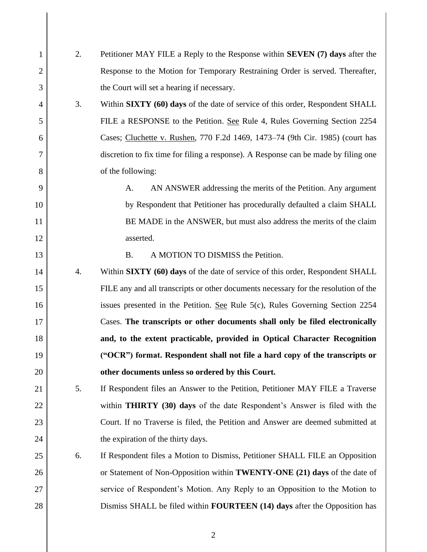| 1              | 2.               | Petitioner MAY FILE a Reply to the Response within <b>SEVEN</b> (7) days after the  |
|----------------|------------------|-------------------------------------------------------------------------------------|
| 2              |                  | Response to the Motion for Temporary Restraining Order is served. Thereafter,       |
| 3              |                  | the Court will set a hearing if necessary.                                          |
| $\overline{4}$ | 3.               | Within SIXTY (60) days of the date of service of this order, Respondent SHALL       |
| 5              |                  | FILE a RESPONSE to the Petition. See Rule 4, Rules Governing Section 2254           |
| 6              |                  | Cases; Cluchette v. Rushen, 770 F.2d 1469, 1473-74 (9th Cir. 1985) (court has       |
| 7              |                  | discretion to fix time for filing a response). A Response can be made by filing one |
| 8              |                  | of the following:                                                                   |
| 9              |                  | AN ANSWER addressing the merits of the Petition. Any argument<br>A.                 |
| 10             |                  | by Respondent that Petitioner has procedurally defaulted a claim SHALL              |
| 11             |                  | BE MADE in the ANSWER, but must also address the merits of the claim                |
| 12             |                  | asserted.                                                                           |
| 13             |                  | <b>B.</b><br>A MOTION TO DISMISS the Petition.                                      |
| 14             | $\overline{4}$ . | Within SIXTY (60) days of the date of service of this order, Respondent SHALL       |
| 15             |                  | FILE any and all transcripts or other documents necessary for the resolution of the |
| 16             |                  | issues presented in the Petition. See Rule $5(c)$ , Rules Governing Section 2254    |
| 17             |                  | Cases. The transcripts or other documents shall only be filed electronically        |
| 18             |                  | and, to the extent practicable, provided in Optical Character Recognition           |
| 19             |                  | ("OCR") format. Respondent shall not file a hard copy of the transcripts or         |
| 20             |                  | other documents unless so ordered by this Court.                                    |
| 21             | 5.               | If Respondent files an Answer to the Petition, Petitioner MAY FILE a Traverse       |
| 22             |                  | within THIRTY (30) days of the date Respondent's Answer is filed with the           |
| 23             |                  | Court. If no Traverse is filed, the Petition and Answer are deemed submitted at     |
| 24             |                  | the expiration of the thirty days.                                                  |
| 25             | 6.               | If Respondent files a Motion to Dismiss, Petitioner SHALL FILE an Opposition        |
| 26             |                  | or Statement of Non-Opposition within <b>TWENTY-ONE</b> (21) days of the date of    |
| 27             |                  | service of Respondent's Motion. Any Reply to an Opposition to the Motion to         |
| 28             |                  | Dismiss SHALL be filed within <b>FOURTEEN</b> (14) days after the Opposition has    |
|                |                  |                                                                                     |

 $\mathbf I$